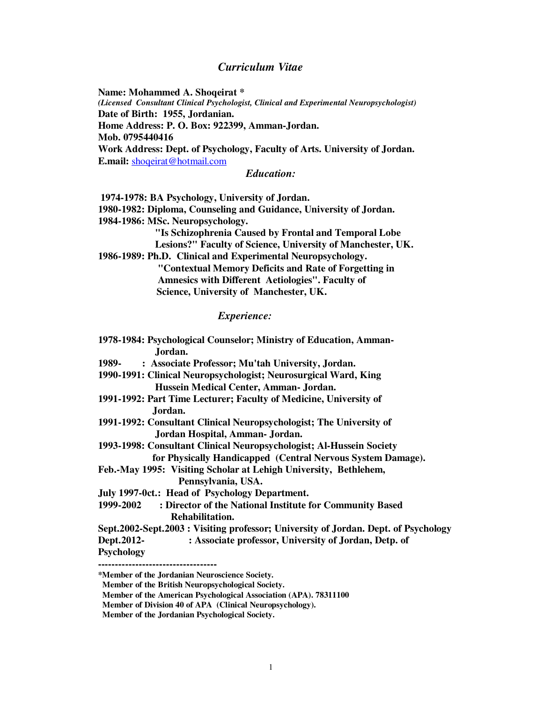# *Curriculum Vitae*

**Name: Mohammed A. Shoqeirat \***  *(Licensed Consultant Clinical Psychologist, Clinical and Experimental Neuropsychologist)*  **Date of Birth: 1955, Jordanian. Home Address: P. O. Box: 922399, Amman-Jordan. Mob. 0795440416 Work Address: Dept. of Psychology, Faculty of Arts. University of Jordan. E.mail:** shoqeirat@hotmail.com

*Education:*

 **1974-1978: BA Psychology, University of Jordan.** 

**1980-1982: Diploma, Counseling and Guidance, University of Jordan. 1984-1986: MSc. Neuropsychology.** 

> **"Is Schizophrenia Caused by Frontal and Temporal Lobe Lesions?" Faculty of Science, University of Manchester, UK.**

**1986-1989: Ph.D. Clinical and Experimental Neuropsychology.** 

 **"Contextual Memory Deficits and Rate of Forgetting in Amnesics with Different Aetiologies". Faculty of Science, University of Manchester, UK.** 

#### *Experience:*

| 1978-1984: Psychological Counselor; Ministry of Education, Amman-                   |
|-------------------------------------------------------------------------------------|
| Jordan.                                                                             |
| : Associate Professor; Mu'tah University, Jordan.<br>1989-                          |
| 1990-1991: Clinical Neuropsychologist; Neurosurgical Ward, King                     |
| Hussein Medical Center, Amman- Jordan.                                              |
| 1991-1992: Part Time Lecturer; Faculty of Medicine, University of                   |
| Jordan.                                                                             |
| 1991-1992: Consultant Clinical Neuropsychologist; The University of                 |
| Jordan Hospital, Amman- Jordan.                                                     |
| 1993-1998: Consultant Clinical Neuropsychologist; Al-Hussein Society                |
| for Physically Handicapped (Central Nervous System Damage).                         |
| Feb.-May 1995: Visiting Scholar at Lehigh University, Bethlehem,                    |
| Pennsylvania, USA.                                                                  |
| July 1997-0ct.: Head of Psychology Department.                                      |
| 1999-2002<br>: Director of the National Institute for Community Based               |
| Rehabilitation.                                                                     |
| Sept.2002-Sept.2003 : Visiting professor; University of Jordan. Dept. of Psychology |
| Dept.2012-<br>: Associate professor, University of Jordan, Detp. of                 |
| <b>Psychology</b>                                                                   |
| *Member of the Jordanian Neuroscience Society.                                      |
|                                                                                     |

**Member of the British Neuropsychological Society.**

**Member of the American Psychological Association (APA). 78311100** 

**Member of Division 40 of APA (Clinical Neuropsychology).** 

**Member of the Jordanian Psychological Society.**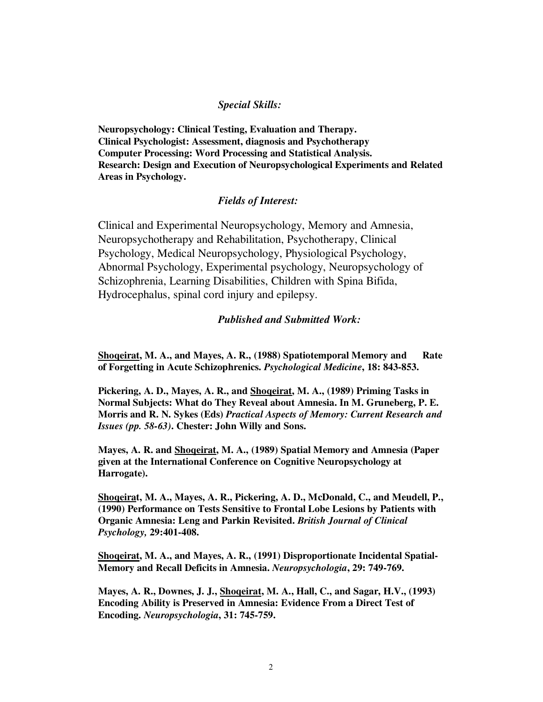## *Special Skills:*

**Neuropsychology: Clinical Testing, Evaluation and Therapy. Clinical Psychologist: Assessment, diagnosis and Psychotherapy Computer Processing: Word Processing and Statistical Analysis. Research: Design and Execution of Neuropsychological Experiments and Related Areas in Psychology.** 

## *Fields of Interest:*

Clinical and Experimental Neuropsychology, Memory and Amnesia, Neuropsychotherapy and Rehabilitation, Psychotherapy, Clinical Psychology, Medical Neuropsychology, Physiological Psychology, Abnormal Psychology, Experimental psychology, Neuropsychology of Schizophrenia, Learning Disabilities, Children with Spina Bifida, Hydrocephalus, spinal cord injury and epilepsy.

### *Published and Submitted Work:*

**<u>Shoqeirat</u>, M. A., and Mayes, A. R., (1988) Spatiotemporal Memory and Rate</u> of Forgetting in Acute Schizophrenics.** *Psychological Medicine***, 18: 843-853.** 

**Pickering, A. D., Mayes, A. R., and Shoqeirat, M. A., (1989) Priming Tasks in Normal Subjects: What do They Reveal about Amnesia. In M. Gruneberg, P. E. Morris and R. N. Sykes (Eds)** *Practical Aspects of Memory: Current Research and Issues (pp. 58-63)***. Chester: John Willy and Sons.** 

**Mayes, A. R. and Shoqeirat, M. A., (1989) Spatial Memory and Amnesia (Paper given at the International Conference on Cognitive Neuropsychology at Harrogate).** 

**Shoqeirat, M. A., Mayes, A. R., Pickering, A. D., McDonald, C., and Meudell, P., (1990) Performance on Tests Sensitive to Frontal Lobe Lesions by Patients with Organic Amnesia: Leng and Parkin Revisited.** *British Journal of Clinical Psychology,* **29:401-408.** 

**Shoqeirat, M. A., and Mayes, A. R., (1991) Disproportionate Incidental Spatial-Memory and Recall Deficits in Amnesia.** *Neuropsychologia***, 29: 749-769.** 

**Mayes, A. R., Downes, J. J., Shoqeirat, M. A., Hall, C., and Sagar, H.V., (1993) Encoding Ability is Preserved in Amnesia: Evidence From a Direct Test of Encoding.** *Neuropsychologia***, 31: 745-759.**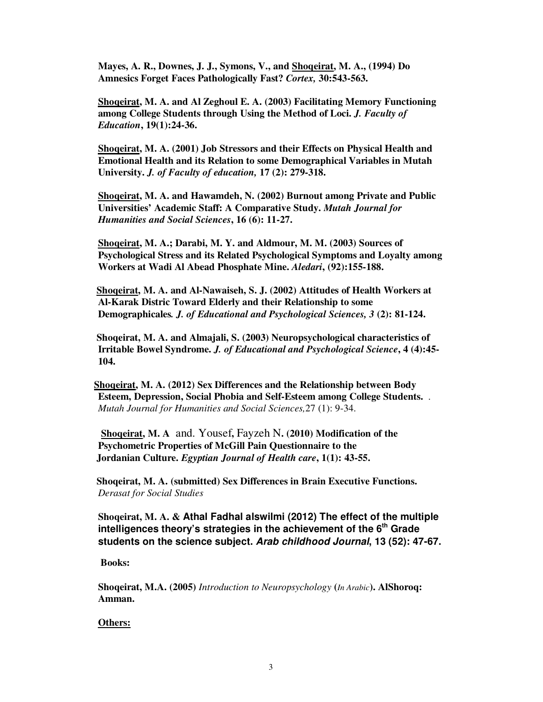**Mayes, A. R., Downes, J. J., Symons, V., and Shoqeirat, M. A., (1994) Do Amnesics Forget Faces Pathologically Fast?** *Cortex,* **30:543-563.** 

**Shoqeirat, M. A. and Al Zeghoul E. A. (2003) Facilitating Memory Functioning among College Students through Using the Method of Loci.** *J. Faculty of Education***, 19(1):24-36.** 

**Shoqeirat, M. A. (2001) Job Stressors and their Effects on Physical Health and Emotional Health and its Relation to some Demographical Variables in Mutah University.** *J. of Faculty of education,* **17 (2): 279-318.** 

**Shoqeirat, M. A. and Hawamdeh, N. (2002) Burnout among Private and Public Universities' Academic Staff: A Comparative Study.** *Mutah Journal for Humanities and Social Sciences***, 16 (6): 11-27.** 

**Shoqeirat, M. A.; Darabi, M. Y. and Aldmour, M. M. (2003) Sources of Psychological Stress and its Related Psychological Symptoms and Loyalty among Workers at Wadi Al Abead Phosphate Mine.** *Aledari***, (92):155-188.** 

 **Shoqeirat, M. A. and Al-Nawaiseh, S. J. (2002) Attitudes of Health Workers at Al-Karak Distric Toward Elderly and their Relationship to some Demographicales***. J. of Educational and Psychological Sciences, 3* **(2): 81-124.** 

 **Shoqeirat, M. A. and Almajali, S. (2003) Neuropsychological characteristics of Irritable Bowel Syndrome.** *J. of Educational and Psychological Science***, 4 (4):45- 104.**

 **Shoqeirat, M. A. (2012) Sex Differences and the Relationship between Body Esteem, Depression, Social Phobia and Self-Esteem among College Students.** . *Mutah Journal for Humanities and Social Sciences,*27 (1): 9-34.

 **Shoqeirat, M. A** and. Yousef**,** Fayzeh N**. (2010) Modification of the Psychometric Properties of McGill Pain Questionnaire to the Jordanian Culture.** *Egyptian Journal of Health care***, 1(1): 43-55.** 

 **Shoqeirat, M. A. (submitted) Sex Differences in Brain Executive Functions.**  *Derasat for Social Studies*

**Shoqeirat, M. A. & Athal Fadhal alswilmi (2012) The effect of the multiple intelligences theory's strategies in the achievement of the 6th Grade students on the science subject. Arab childhood Journal, 13 (52): 47-67.** 

 **Books:** 

**Shoqeirat, M.A. (2005)** *Introduction to Neuropsychology* **(***In Arabic***). AlShoroq: Amman.** 

#### **Others:**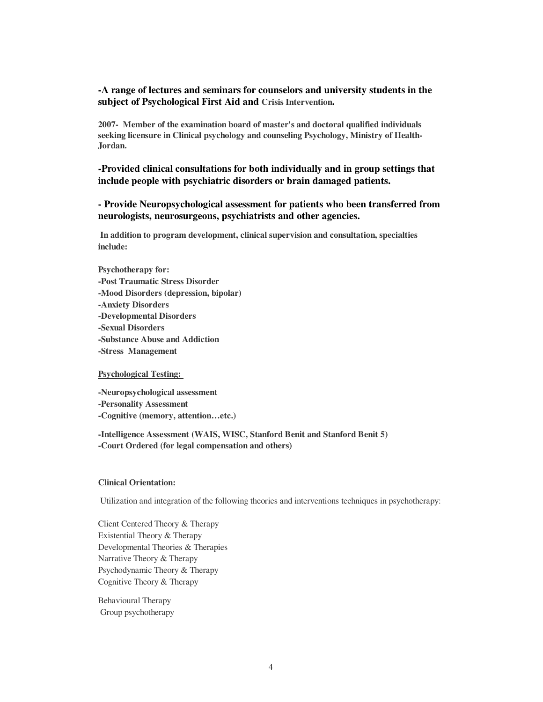## **-A range of lectures and seminars for counselors and university students in the subject of Psychological First Aid and Crisis Intervention.**

**2007- Member of the examination board of master's and doctoral qualified individuals seeking licensure in Clinical psychology and counseling Psychology, Ministry of Health-Jordan.** 

**-Provided clinical consultations for both individually and in group settings that include people with psychiatric disorders or brain damaged patients.** 

**- Provide Neuropsychological assessment for patients who been transferred from neurologists, neurosurgeons, psychiatrists and other agencies.** 

 **In addition to program development, clinical supervision and consultation, specialties include:** 

**Psychotherapy for: -Post Traumatic Stress Disorder -Mood Disorders (depression, bipolar) -Anxiety Disorders -Developmental Disorders -Sexual Disorders -Substance Abuse and Addiction -Stress Management** 

**Psychological Testing:** 

**-Neuropsychological assessment -Personality Assessment -Cognitive (memory, attention…etc.)** 

**-Intelligence Assessment (WAIS, WISC, Stanford Benit and Stanford Benit 5) -Court Ordered (for legal compensation and others)** 

#### **Clinical Orientation:**

Utilization and integration of the following theories and interventions techniques in psychotherapy:

Client Centered Theory & Therapy Existential Theory & Therapy Developmental Theories & Therapies Narrative Theory & Therapy Psychodynamic Theory & Therapy Cognitive Theory & Therapy

Behavioural Therapy Group psychotherapy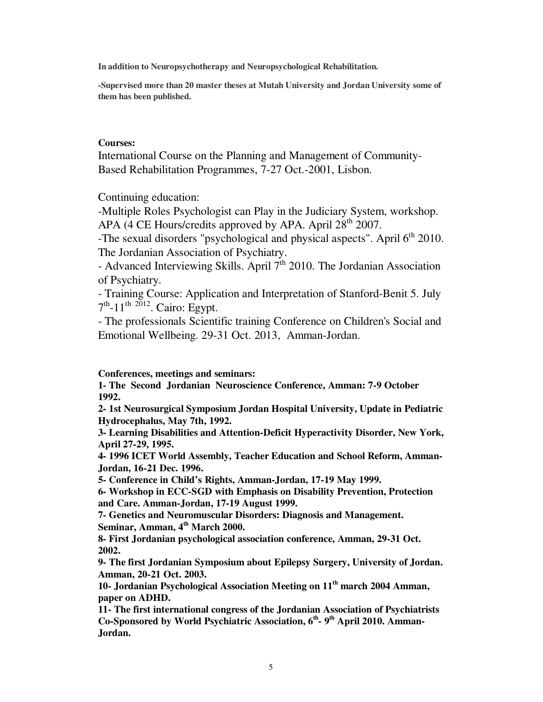**In addition to Neuropsychotherapy and Neuropsychological Rehabilitation.** 

**-Supervised more than 20 master theses at Mutah University and Jordan University some of them has been published.** 

### **Courses:**

International Course on the Planning and Management of Community-Based Rehabilitation Programmes, 7-27 Oct.-2001, Lisbon.

Continuing education:

-Multiple Roles Psychologist can Play in the Judiciary System, workshop. APA (4 CE Hours/credits approved by APA. April 28<sup>th</sup> 2007.

-The sexual disorders "psychological and physical aspects". April 6<sup>th</sup> 2010. The Jordanian Association of Psychiatry.

- Advanced Interviewing Skills. April  $7<sup>th</sup>$  2010. The Jordanian Association of Psychiatry.

- Training Course: Application and Interpretation of Stanford-Benit 5. July  $7<sup>th</sup>$ -11<sup>th 2012</sup>. Cairo: Egypt.

- The professionals Scientific training Conference on Children's Social and Emotional Wellbeing. 29-31 Oct. 2013, Amman-Jordan.

#### **Conferences, meetings and seminars:**

**1- The Second Jordanian Neuroscience Conference, Amman: 7-9 October 1992.** 

**2- 1st Neurosurgical Symposium Jordan Hospital University, Update in Pediatric Hydrocephalus, May 7th, 1992.** 

**3- Learning Disabilities and Attention-Deficit Hyperactivity Disorder, New York, April 27-29, 1995.** 

**4- 1996 ICET World Assembly, Teacher Education and School Reform, Amman-Jordan, 16-21 Dec. 1996.** 

**5- Conference in Child's Rights, Amman-Jordan, 17-19 May 1999.** 

**6- Workshop in ECC-SGD with Emphasis on Disability Prevention, Protection and Care. Amman-Jordan, 17-19 August 1999.** 

**7- Genetics and Neuromuscular Disorders: Diagnosis and Management. Seminar, Amman, 4th March 2000.** 

**8- First Jordanian psychological association conference, Amman, 29-31 Oct. 2002.** 

**9- The first Jordanian Symposium about Epilepsy Surgery, University of Jordan. Amman, 20-21 Oct. 2003.** 

**10- Jordanian Psychological Association Meeting on 11th march 2004 Amman, paper on ADHD.** 

**11- The first international congress of the Jordanian Association of Psychiatrists Co-Sponsored by World Psychiatric Association, 6th- 9th April 2010. Amman-Jordan.**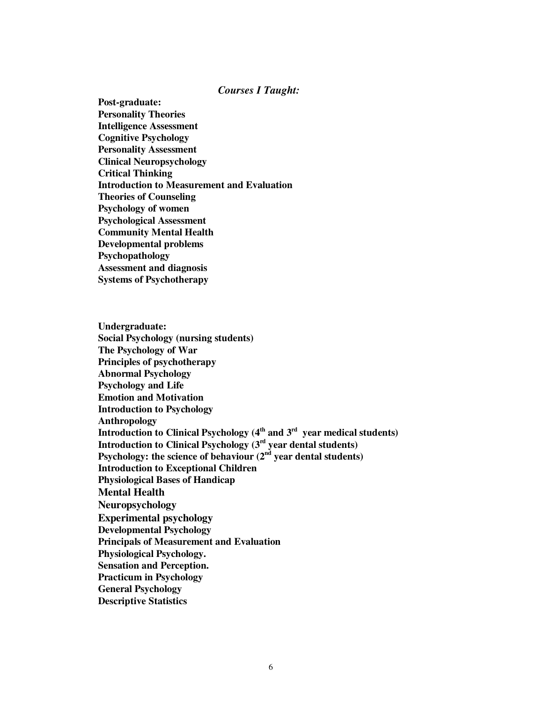#### *Courses I Taught:*

**Post-graduate: Personality Theories Intelligence Assessment Cognitive Psychology Personality Assessment Clinical Neuropsychology Critical Thinking Introduction to Measurement and Evaluation Theories of Counseling Psychology of women Psychological Assessment Community Mental Health Developmental problems Psychopathology Assessment and diagnosis Systems of Psychotherapy** 

**Undergraduate: Social Psychology (nursing students) The Psychology of War Principles of psychotherapy Abnormal Psychology Psychology and Life Emotion and Motivation Introduction to Psychology Anthropology Introduction to Clinical Psychology (4th and 3rd year medical students) Introduction to Clinical Psychology (3rd year dental students)**  Psychology: the science of behaviour (2<sup>nd</sup> year dental students) **Introduction to Exceptional Children Physiological Bases of Handicap Mental Health Neuropsychology Experimental psychology Developmental Psychology Principals of Measurement and Evaluation Physiological Psychology. Sensation and Perception. Practicum in Psychology General Psychology Descriptive Statistics**